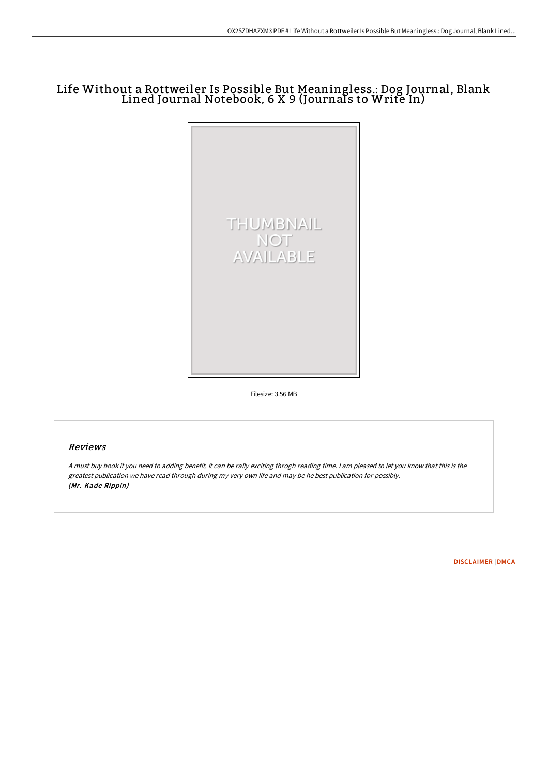## Life Without a Rottweiler Is Possible But Meaningless.: Dog Journal, Blank Lined Journal Notebook, 6 X 9 (Journals to Write In)



Filesize: 3.56 MB

## Reviews

<sup>A</sup> must buy book if you need to adding benefit. It can be rally exciting throgh reading time. <sup>I</sup> am pleased to let you know that this is the greatest publication we have read through during my very own life and may be he best publication for possibly. (Mr. Kade Rippin)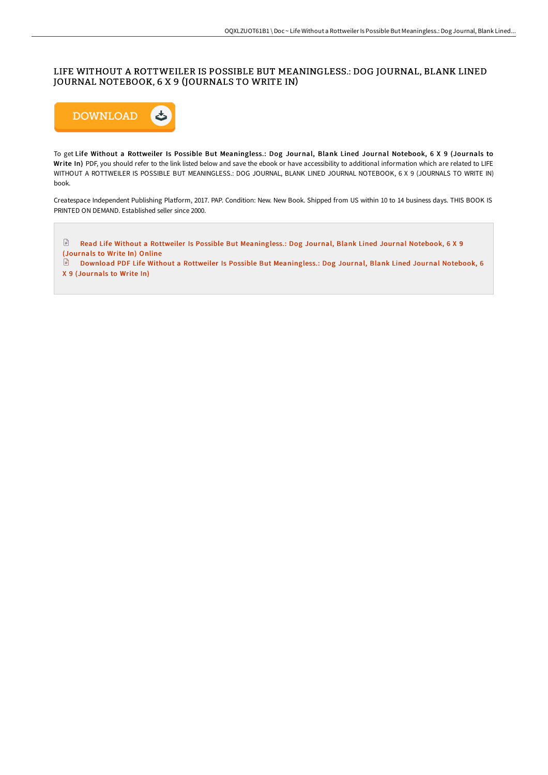## LIFE WITHOUT A ROTTWEILER IS POSSIBLE BUT MEANINGLESS.: DOG JOURNAL, BLANK LINED JOURNAL NOTEBOOK, 6 X 9 (JOURNALS TO WRITE IN)



To get Life Without a Rottweiler Is Possible But Meaningless.: Dog Journal, Blank Lined Journal Notebook, 6 X 9 (Journals to Write In) PDF, you should refer to the link listed below and save the ebook or have accessibility to additional information which are related to LIFE WITHOUT A ROTTWEILER IS POSSIBLE BUT MEANINGLESS.: DOG JOURNAL, BLANK LINED JOURNAL NOTEBOOK, 6 X 9 (JOURNALS TO WRITE IN) book.

Createspace Independent Publishing Platform, 2017. PAP. Condition: New. New Book. Shipped from US within 10 to 14 business days. THIS BOOK IS PRINTED ON DEMAND. Established seller since 2000.